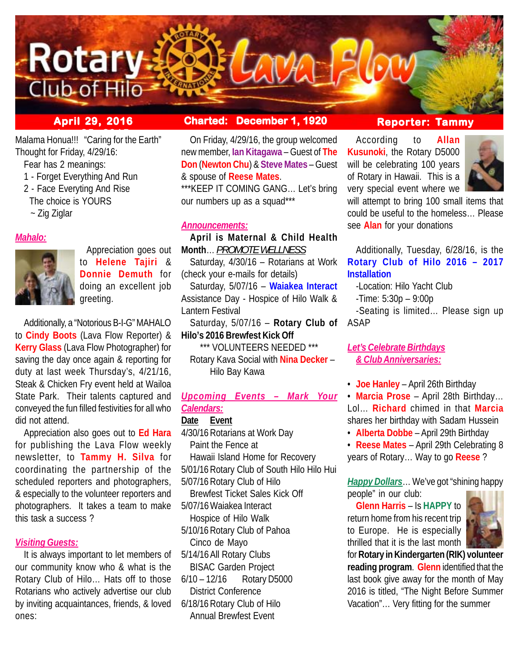

Malama Honua!!! "Caring for the Earth" Thought for Friday, 4/29/16:

- Fear has 2 meanings:
- 1 Forget Everything And Run
- 2 Face Everyting And Rise
- The choice is YOURS
- ~ Zig Ziglar

## *Mahalo:*



 Appreciation goes out to **Helene Tajiri** & **Donnie Demuth** for doing an excellent job greeting.

Additionally, a "Notorious B-I-G" MAHALO to **Cindy Boots** (Lava Flow Reporter) & **Kerry Glass** (Lava Flow Photographer) for saving the day once again & reporting for duty at last week Thursday's, 4/21/16, Steak & Chicken Fry event held at Wailoa State Park. Their talents captured and conveyed the fun filled festivities for all who did not attend.

Appreciation also goes out to **Ed Hara** for publishing the Lava Flow weekly newsletter, to **Tammy H. Silva** for coordinating the partnership of the scheduled reporters and photographers, & especially to the volunteer reporters and photographers. It takes a team to make this task a success ?

## *Visiting Guests:*

It is always important to let members of our community know who & what is the Rotary Club of Hilo… Hats off to those Rotarians who actively advertise our club by inviting acquaintances, friends, & loved ones:

## **April 29, 2016 Charted: December 1, 1920**

On Friday, 4/29/16, the group welcomed new member, **Ian Kitagawa** – Guest of **The Don** (**Newton Chu**) & **Steve Mates** – Guest & spouse of **Reese Mates**.

\*\*\*KEEP IT COMING GANG… Let's bring our numbers up as a squad\*\*\*

## *Announcements:*

**April is Maternal & Child Health Month**… *PROMOTE WELLNESS* Saturday, 4/30/16 – Rotarians at Work

(check your e-mails for details) Saturday, 5/07/16 – **Waiakea Interact** Assistance Day - Hospice of Hilo Walk & Lantern Festival

Saturday, 5/07/16 – **Rotary Club of Hilo's 2016 Brewfest Kick Off**

 \*\*\* VOLUNTEERS NEEDED \*\*\* Rotary Kava Social with **Nina Decker** – Hilo Bay Kawa

## *Upcoming Events – Mark Your Calendars:*

## **Date Event**

4/30/16Rotarians at Work Day Paint the Fence at Hawaii Island Home for Recovery 5/01/16Rotary Club of South Hilo Hilo Hui 5/07/16Rotary Club of Hilo Brewfest Ticket Sales Kick Off 5/07/16 Waiakea Interact Hospice of Hilo Walk 5/10/16 Rotary Club of Pahoa Cinco de Mayo 5/14/16 All Rotary Clubs BISAC Garden Project 6/10 – 12/16 Rotary D5000 District Conference 6/18/16Rotary Club of Hilo

Annual Brewfest Event

# **Reporter: Tammy**

According to **Allan Kusunoki**, the Rotary D5000 will be celebrating 100 years of Rotary in Hawaii. This is a very special event where we



will attempt to bring 100 small items that could be useful to the homeless… Please see **Alan** for your donations

Additionally, Tuesday, 6/28/16, is the **Rotary Club of Hilo 2016 – 2017 Installation**

-Location: Hilo Yacht Club

-Time: 5:30p – 9:00p

-Seating is limited… Please sign up ASAP

## *Let's Celebrate Birthdays & Club Anniversaries:*

• **Joe Hanley** – April 26th Birthday

• **Marcia Prose** – April 28th Birthday… Lol… **Richard** chimed in that **Marcia** shares her birthday with Sadam Hussein

• **Alberta Dobbe** – April 29th Birthday

• **Reese Mates** – April 29th Celebrating 8 years of Rotary… Way to go **Reese** ?

*Happy Dollars*… We've got "shining happy people" in our club:

**Glenn Harris** – Is **HAPPY** to return home from his recent trip to Europe. He is especially thrilled that it is the last month



for **Rotary in Kindergarten (RIK) volunteer reading program**. **Glenn** identified that the last book give away for the month of May 2016 is titled, "The Night Before Summer Vacation"… Very fitting for the summer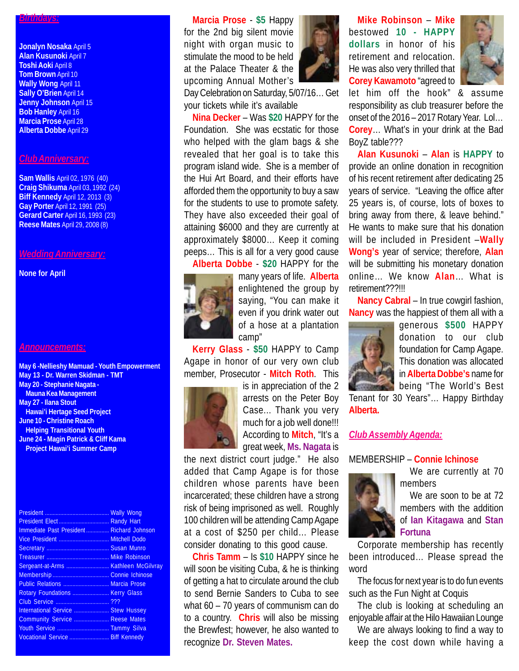#### *Birthdays:*

**Jonalyn Nosaka** April 5 **Alan Kusunoki** April 7 **Toshi Aoki** April 8 **Tom Brown** April 10 **Wally Wong** April 11 **Sally O'Brien April 14 Jenny Johnson** April 15 **Bob Hanley** April 16 **Marcia Prose** April 28 **Alberta Dobbe** April 29

## *Club Anniversary:*

**Sam Wallis** April 02, 1976 (40) **Craig Shikuma** April 03, 1992 (24) **Biff Kennedy** April 12, 2013 (3) **Gay Porter** April 12, 1991 (25) **Gerard Carter** April 16, 1993 (23) **Reese Mates** April 29, 2008 (8)

#### *Wedding Anniversary:*

**None for April**

#### *Announcements:*

**May 6 -Nellieshy Mamuad - Youth Empowerment May 13 - Dr. Warren Skidman - TMT May 20 - Stephanie Nagata - Mauna Kea Management May 27 - Ilana Stout Hawai'i Hertage Seed Project June 10 - Christine Roach Helping Transitional Youth June 24 - Magin Patrick & Cliff Kama Project Hawai'i Summer Camp**

| Immediate Past President Richard Johnson |  |
|------------------------------------------|--|
| Vice President  Mitchell Dodo            |  |
|                                          |  |
|                                          |  |
|                                          |  |
|                                          |  |
| Public Relations  Marcia Prose           |  |
| Rotary Foundations  Kerry Glass          |  |
|                                          |  |
| International Service  Stew Hussey       |  |
| Community Service  Reese Mates           |  |
|                                          |  |
| Vocational Service  Biff Kennedy         |  |
|                                          |  |

**Marcia Prose** - **\$5** Happy for the 2nd big silent movie night with organ music to stimulate the mood to be held at the Palace Theater & the upcoming Annual Mother's



Day Celebration on Saturday, 5/07/16… Get your tickets while it's available

**Nina Decker** – Was **\$20** HAPPY for the Foundation. She was ecstatic for those who helped with the glam bags & she revealed that her goal is to take this program island wide. She is a member of the Hui Art Board, and their efforts have afforded them the opportunity to buy a saw for the students to use to promote safety. They have also exceeded their goal of attaining \$6000 and they are currently at approximately \$8000… Keep it coming peeps… This is all for a very good cause



**Alberta Dobbe** - **\$20** HAPPY for the many years of life. **Alberta** enlightened the group by saying, "You can make it even if you drink water out of a hose at a plantation camp"

**Kerry Glass** - **\$50** HAPPY to Camp Agape in honor of our very own club member, Prosecutor - **Mitch Roth**. This



is in appreciation of the 2 arrests on the Peter Boy Case... Thank you very much for a job well done!!! According to **Mitch**, "It's a great week, **Ms. Nagata** is

the next district court judge." He also added that Camp Agape is for those children whose parents have been incarcerated; these children have a strong risk of being imprisoned as well. Roughly 100 children will be attending Camp Agape at a cost of \$250 per child… Please consider donating to this good cause.

**Chris Tamm** – Is **\$10** HAPPY since he will soon be visiting Cuba, & he is thinking of getting a hat to circulate around the club to send Bernie Sanders to Cuba to see what 60 – 70 years of communism can do to a country. **Chris** will also be missing the Brewfest; however, he also wanted to recognize **Dr. Steven Mates.**

**Mike Robinson** – **Mike** bestowed **10 - HAPPY dollars** in honor of his retirement and relocation. He was also very thrilled that **Corey Kawamoto** "agreed to



let him off the hook" & assume responsibility as club treasurer before the onset of the 2016 – 2017 Rotary Year. Lol… **Corey**… What's in your drink at the Bad BoyZ table???

**Alan Kusunoki** – **Alan** is **HAPPY** to provide an online donation in recognition of his recent retirement after dedicating 25 years of service. "Leaving the office after 25 years is, of course, lots of boxes to bring away from there, & leave behind." He wants to make sure that his donation will be included in President –**Wally Wong's** year of service; therefore, **Alan** will be submitting his monetary donation online… We know **Alan**… What is retirement???!!!

**Nancy Cabral** – In true cowgirl fashion, **Nancy** was the happiest of them all with a



generous **\$500** HAPPY donation to our club foundation for Camp Agape. This donation was allocated in **Alberta Dobbe's** name for being "The World's Best

Tenant for 30 Years"… Happy Birthday **Alberta.**

## *Club Assembly Agenda:*

#### MEMBERSHIP – **Connie Ichinose**



We are currently at 70 members

We are soon to be at 72 members with the addition of **Ian Kitagawa** and **Stan Fortuna**

Corporate membership has recently been introduced… Please spread the word

The focus for next year is to do fun events such as the Fun Night at Coquis

The club is looking at scheduling an enjoyable affair at the Hilo Hawaiian Lounge

We are always looking to find a way to keep the cost down while having a